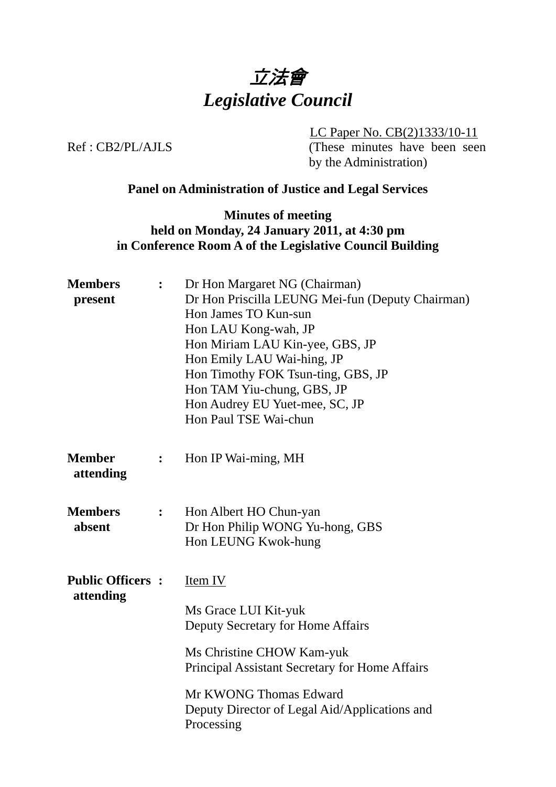

LC Paper No. CB(2)1333/10-11

Ref : CB2/PL/AJLS (These minutes have been seen by the Administration)

## **Panel on Administration of Justice and Legal Services**

**Minutes of meeting held on Monday, 24 January 2011, at 4:30 pm in Conference Room A of the Legislative Council Building** 

| <b>Members</b><br>present            | $\ddot{\cdot}$ | Dr Hon Margaret NG (Chairman)<br>Dr Hon Priscilla LEUNG Mei-fun (Deputy Chairman)<br>Hon James TO Kun-sun<br>Hon LAU Kong-wah, JP<br>Hon Miriam LAU Kin-yee, GBS, JP<br>Hon Emily LAU Wai-hing, JP<br>Hon Timothy FOK Tsun-ting, GBS, JP<br>Hon TAM Yiu-chung, GBS, JP<br>Hon Audrey EU Yuet-mee, SC, JP<br>Hon Paul TSE Wai-chun |
|--------------------------------------|----------------|-----------------------------------------------------------------------------------------------------------------------------------------------------------------------------------------------------------------------------------------------------------------------------------------------------------------------------------|
| <b>Member</b><br>attending           | $\ddot{\cdot}$ | Hon IP Wai-ming, MH                                                                                                                                                                                                                                                                                                               |
| <b>Members</b><br>absent             | $\ddot{\cdot}$ | Hon Albert HO Chun-yan<br>Dr Hon Philip WONG Yu-hong, GBS<br>Hon LEUNG Kwok-hung                                                                                                                                                                                                                                                  |
| <b>Public Officers:</b><br>attending |                | Item IV<br>Ms Grace LUI Kit-yuk<br>Deputy Secretary for Home Affairs<br>Ms Christine CHOW Kam-yuk<br>Principal Assistant Secretary for Home Affairs<br>Mr KWONG Thomas Edward<br>Deputy Director of Legal Aid/Applications and<br>Processing                                                                                      |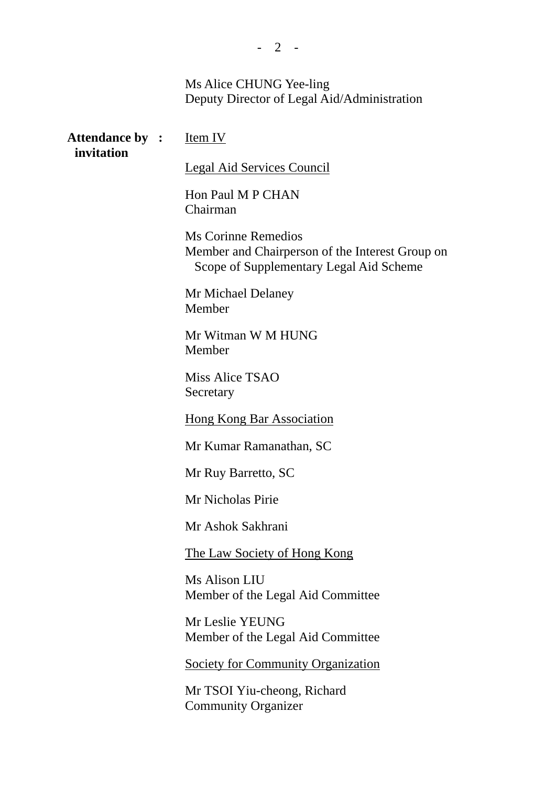### Ms Alice CHUNG Yee-ling Deputy Director of Legal Aid/Administration

| <b>Attendance by : Item IV</b><br>invitation |                                                                                                                   |
|----------------------------------------------|-------------------------------------------------------------------------------------------------------------------|
|                                              | <b>Legal Aid Services Council</b>                                                                                 |
|                                              | Hon Paul M P CHAN<br>Chairman                                                                                     |
|                                              | Ms Corinne Remedios<br>Member and Chairperson of the Interest Group on<br>Scope of Supplementary Legal Aid Scheme |
|                                              | Mr Michael Delaney<br>Member                                                                                      |
|                                              | Mr Witman W M HUNG<br>Member                                                                                      |
|                                              | Miss Alice TSAO<br>Secretary                                                                                      |
|                                              | <b>Hong Kong Bar Association</b>                                                                                  |
|                                              | Mr Kumar Ramanathan, SC                                                                                           |
|                                              | Mr Ruy Barretto, SC                                                                                               |
|                                              | Mr Nicholas Pirie                                                                                                 |
|                                              | Mr Ashok Sakhrani                                                                                                 |
|                                              | The Law Society of Hong Kong                                                                                      |
|                                              | Ms Alison LIU<br>Member of the Legal Aid Committee                                                                |
|                                              | Mr Leslie YEUNG<br>Member of the Legal Aid Committee                                                              |
|                                              | <b>Society for Community Organization</b>                                                                         |

Mr TSOI Yiu-cheong, Richard Community Organizer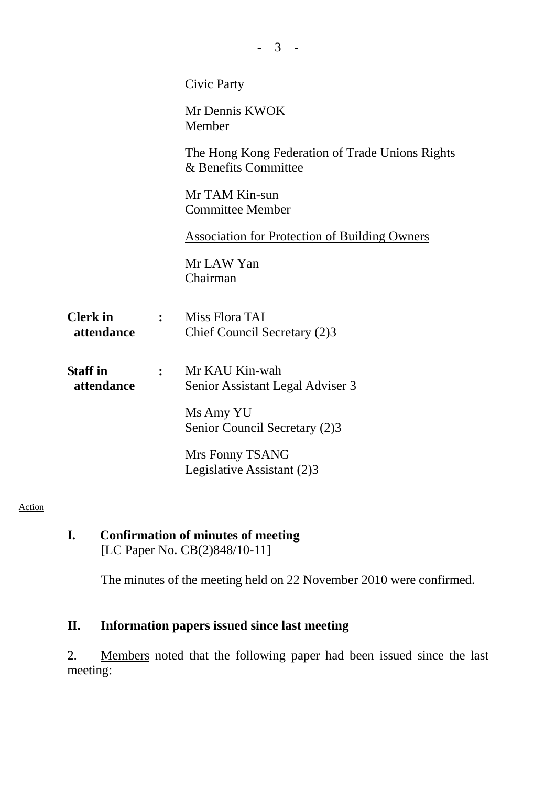|                               |                | <b>Civic Party</b>                                                      |
|-------------------------------|----------------|-------------------------------------------------------------------------|
|                               |                | Mr Dennis KWOK<br>Member                                                |
|                               |                | The Hong Kong Federation of Trade Unions Rights<br>& Benefits Committee |
|                               |                | Mr TAM Kin-sun<br><b>Committee Member</b>                               |
|                               |                | <b>Association for Protection of Building Owners</b>                    |
|                               |                | Mr LAW Yan<br>Chairman                                                  |
| <b>Clerk</b> in<br>attendance | $\ddot{\cdot}$ | Miss Flora TAI<br>Chief Council Secretary (2)3                          |
| <b>Staff</b> in<br>attendance |                | Mr KAU Kin-wah<br>Senior Assistant Legal Adviser 3                      |
|                               |                | Ms Amy YU<br>Senior Council Secretary (2)3                              |
|                               |                | Mrs Fonny TSANG<br>Legislative Assistant (2)3                           |

- 3 -

#### Action

## **I. Confirmation of minutes of meeting**  [LC Paper No. CB(2)848/10-11]

The minutes of the meeting held on 22 November 2010 were confirmed.

# **II. Information papers issued since last meeting**

2. Members noted that the following paper had been issued since the last meeting: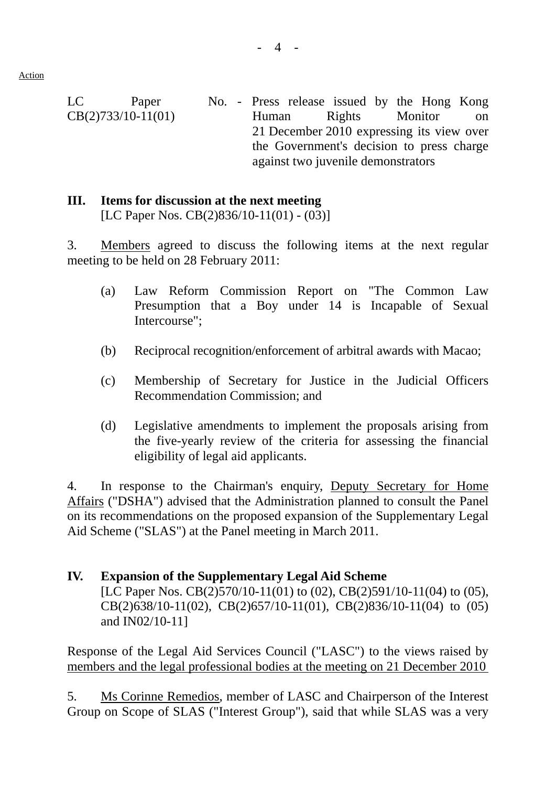LC Paper CB(2)733/10-11(01) No. - Press release issued by the Hong Kong Human Rights Monitor on 21 December 2010 expressing its view over the Government's decision to press charge against two juvenile demonstrators

## **III. Items for discussion at the next meeting**

[LC Paper Nos. CB(2)836/10-11(01) - (03)]

3. Members agreed to discuss the following items at the next regular meeting to be held on 28 February 2011:

- (a) Law Reform Commission Report on "The Common Law Presumption that a Boy under 14 is Incapable of Sexual Intercourse";
- (b) Reciprocal recognition/enforcement of arbitral awards with Macao;
- (c) Membership of Secretary for Justice in the Judicial Officers Recommendation Commission; and
- (d) Legislative amendments to implement the proposals arising from the five-yearly review of the criteria for assessing the financial eligibility of legal aid applicants.

4. In response to the Chairman's enquiry, Deputy Secretary for Home Affairs ("DSHA") advised that the Administration planned to consult the Panel on its recommendations on the proposed expansion of the Supplementary Legal Aid Scheme ("SLAS") at the Panel meeting in March 2011.

## **IV. Expansion of the Supplementary Legal Aid Scheme**

[LC Paper Nos. CB(2)570/10-11(01) to (02), CB(2)591/10-11(04) to (05), CB(2)638/10-11(02), CB(2)657/10-11(01), CB(2)836/10-11(04) to (05) and IN02/10-11]

Response of the Legal Aid Services Council ("LASC") to the views raised by members and the legal professional bodies at the meeting on 21 December 2010

5. Ms Corinne Remedios, member of LASC and Chairperson of the Interest Group on Scope of SLAS ("Interest Group"), said that while SLAS was a very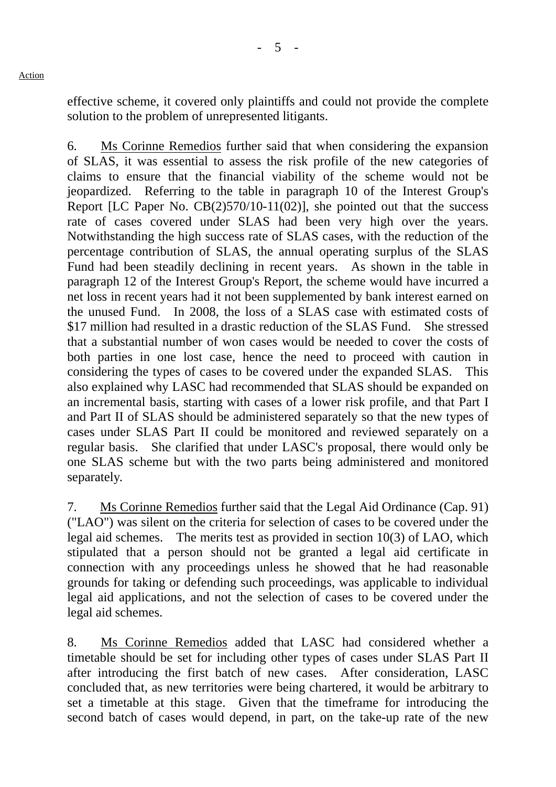effective scheme, it covered only plaintiffs and could not provide the complete solution to the problem of unrepresented litigants.

6. Ms Corinne Remedios further said that when considering the expansion of SLAS, it was essential to assess the risk profile of the new categories of claims to ensure that the financial viability of the scheme would not be jeopardized. Referring to the table in paragraph 10 of the Interest Group's Report [LC Paper No. CB(2)570/10-11(02)], she pointed out that the success rate of cases covered under SLAS had been very high over the years. Notwithstanding the high success rate of SLAS cases, with the reduction of the percentage contribution of SLAS, the annual operating surplus of the SLAS Fund had been steadily declining in recent years. As shown in the table in paragraph 12 of the Interest Group's Report, the scheme would have incurred a net loss in recent years had it not been supplemented by bank interest earned on the unused Fund. In 2008, the loss of a SLAS case with estimated costs of \$17 million had resulted in a drastic reduction of the SLAS Fund. She stressed that a substantial number of won cases would be needed to cover the costs of both parties in one lost case, hence the need to proceed with caution in considering the types of cases to be covered under the expanded SLAS. This also explained why LASC had recommended that SLAS should be expanded on an incremental basis, starting with cases of a lower risk profile, and that Part I and Part II of SLAS should be administered separately so that the new types of cases under SLAS Part II could be monitored and reviewed separately on a regular basis. She clarified that under LASC's proposal, there would only be one SLAS scheme but with the two parts being administered and monitored separately.

7. Ms Corinne Remedios further said that the Legal Aid Ordinance (Cap. 91) ("LAO") was silent on the criteria for selection of cases to be covered under the legal aid schemes. The merits test as provided in section 10(3) of LAO, which stipulated that a person should not be granted a legal aid certificate in connection with any proceedings unless he showed that he had reasonable grounds for taking or defending such proceedings, was applicable to individual legal aid applications, and not the selection of cases to be covered under the legal aid schemes.

8. Ms Corinne Remedios added that LASC had considered whether a timetable should be set for including other types of cases under SLAS Part II after introducing the first batch of new cases. After consideration, LASC concluded that, as new territories were being chartered, it would be arbitrary to set a timetable at this stage. Given that the timeframe for introducing the second batch of cases would depend, in part, on the take-up rate of the new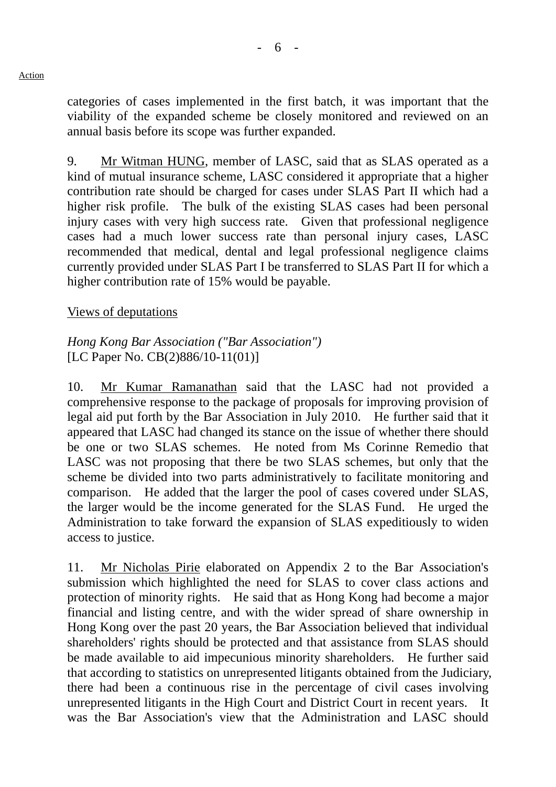categories of cases implemented in the first batch, it was important that the viability of the expanded scheme be closely monitored and reviewed on an annual basis before its scope was further expanded.

9. Mr Witman HUNG, member of LASC, said that as SLAS operated as a kind of mutual insurance scheme, LASC considered it appropriate that a higher contribution rate should be charged for cases under SLAS Part II which had a higher risk profile. The bulk of the existing SLAS cases had been personal injury cases with very high success rate. Given that professional negligence cases had a much lower success rate than personal injury cases, LASC recommended that medical, dental and legal professional negligence claims currently provided under SLAS Part I be transferred to SLAS Part II for which a higher contribution rate of 15% would be payable.

### Views of deputations

## *Hong Kong Bar Association ("Bar Association")*  [LC Paper No. CB(2)886/10-11(01)]

10. Mr Kumar Ramanathan said that the LASC had not provided a comprehensive response to the package of proposals for improving provision of legal aid put forth by the Bar Association in July 2010. He further said that it appeared that LASC had changed its stance on the issue of whether there should be one or two SLAS schemes. He noted from Ms Corinne Remedio that LASC was not proposing that there be two SLAS schemes, but only that the scheme be divided into two parts administratively to facilitate monitoring and comparison. He added that the larger the pool of cases covered under SLAS, the larger would be the income generated for the SLAS Fund. He urged the Administration to take forward the expansion of SLAS expeditiously to widen access to justice.

11. Mr Nicholas Pirie elaborated on Appendix 2 to the Bar Association's submission which highlighted the need for SLAS to cover class actions and protection of minority rights. He said that as Hong Kong had become a major financial and listing centre, and with the wider spread of share ownership in Hong Kong over the past 20 years, the Bar Association believed that individual shareholders' rights should be protected and that assistance from SLAS should be made available to aid impecunious minority shareholders. He further said that according to statistics on unrepresented litigants obtained from the Judiciary, there had been a continuous rise in the percentage of civil cases involving unrepresented litigants in the High Court and District Court in recent years. was the Bar Association's view that the Administration and LASC should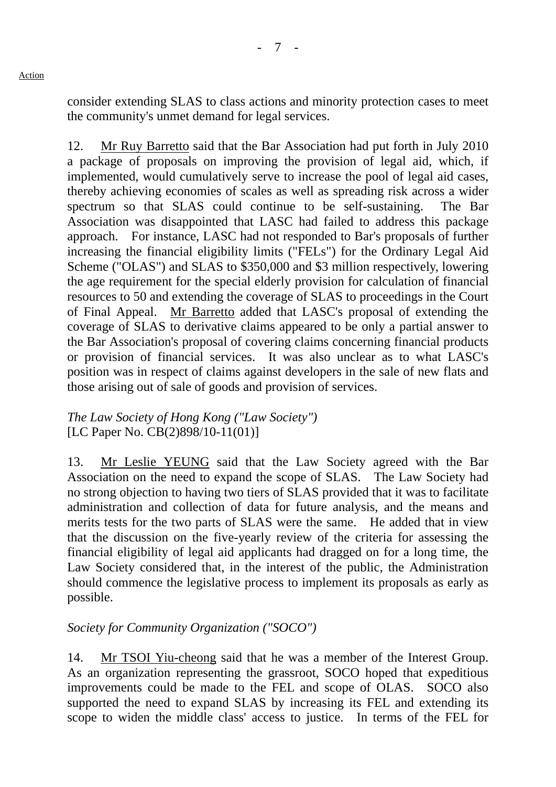consider extending SLAS to class actions and minority protection cases to meet the community's unmet demand for legal services.

12. Mr Ruy Barretto said that the Bar Association had put forth in July 2010 a package of proposals on improving the provision of legal aid, which, if implemented, would cumulatively serve to increase the pool of legal aid cases, thereby achieving economies of scales as well as spreading risk across a wider spectrum so that SLAS could continue to be self-sustaining. The Bar Association was disappointed that LASC had failed to address this package approach. For instance, LASC had not responded to Bar's proposals of further increasing the financial eligibility limits ("FELs") for the Ordinary Legal Aid Scheme ("OLAS") and SLAS to \$350,000 and \$3 million respectively, lowering the age requirement for the special elderly provision for calculation of financial resources to 50 and extending the coverage of SLAS to proceedings in the Court of Final Appeal. Mr Barretto added that LASC's proposal of extending the coverage of SLAS to derivative claims appeared to be only a partial answer to the Bar Association's proposal of covering claims concerning financial products or provision of financial services. It was also unclear as to what LASC's position was in respect of claims against developers in the sale of new flats and those arising out of sale of goods and provision of services.

## *The Law Society of Hong Kong ("Law Society")*  [LC Paper No. CB(2)898/10-11(01)]

13. Mr Leslie YEUNG said that the Law Society agreed with the Bar Association on the need to expand the scope of SLAS. The Law Society had no strong objection to having two tiers of SLAS provided that it was to facilitate administration and collection of data for future analysis, and the means and merits tests for the two parts of SLAS were the same. He added that in view that the discussion on the five-yearly review of the criteria for assessing the financial eligibility of legal aid applicants had dragged on for a long time, the Law Society considered that, in the interest of the public, the Administration should commence the legislative process to implement its proposals as early as possible.

# *Society for Community Organization ("SOCO")*

14. Mr TSOI Yiu-cheong said that he was a member of the Interest Group. As an organization representing the grassroot, SOCO hoped that expeditious improvements could be made to the FEL and scope of OLAS. SOCO also supported the need to expand SLAS by increasing its FEL and extending its scope to widen the middle class' access to justice. In terms of the FEL for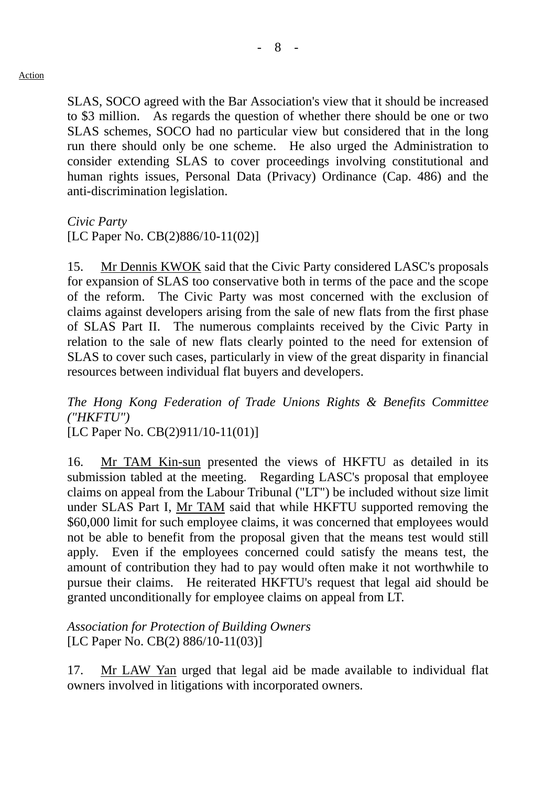SLAS, SOCO agreed with the Bar Association's view that it should be increased to \$3 million. As regards the question of whether there should be one or two SLAS schemes, SOCO had no particular view but considered that in the long run there should only be one scheme. He also urged the Administration to consider extending SLAS to cover proceedings involving constitutional and human rights issues, Personal Data (Privacy) Ordinance (Cap. 486) and the anti-discrimination legislation.

*Civic Party* 

[LC Paper No. CB(2)886/10-11(02)]

15. Mr Dennis KWOK said that the Civic Party considered LASC's proposals for expansion of SLAS too conservative both in terms of the pace and the scope of the reform. The Civic Party was most concerned with the exclusion of claims against developers arising from the sale of new flats from the first phase of SLAS Part II. The numerous complaints received by the Civic Party in relation to the sale of new flats clearly pointed to the need for extension of SLAS to cover such cases, particularly in view of the great disparity in financial resources between individual flat buyers and developers.

*The Hong Kong Federation of Trade Unions Rights & Benefits Committee ("HKFTU")* 

[LC Paper No. CB(2)911/10-11(01)]

16. Mr TAM Kin-sun presented the views of HKFTU as detailed in its submission tabled at the meeting. Regarding LASC's proposal that employee claims on appeal from the Labour Tribunal ("LT") be included without size limit under SLAS Part I, Mr TAM said that while HKFTU supported removing the \$60,000 limit for such employee claims, it was concerned that employees would not be able to benefit from the proposal given that the means test would still apply. Even if the employees concerned could satisfy the means test, the amount of contribution they had to pay would often make it not worthwhile to pursue their claims. He reiterated HKFTU's request that legal aid should be granted unconditionally for employee claims on appeal from LT.

*Association for Protection of Building Owners*  [LC Paper No. CB(2) 886/10-11(03)]

17. Mr LAW Yan urged that legal aid be made available to individual flat owners involved in litigations with incorporated owners.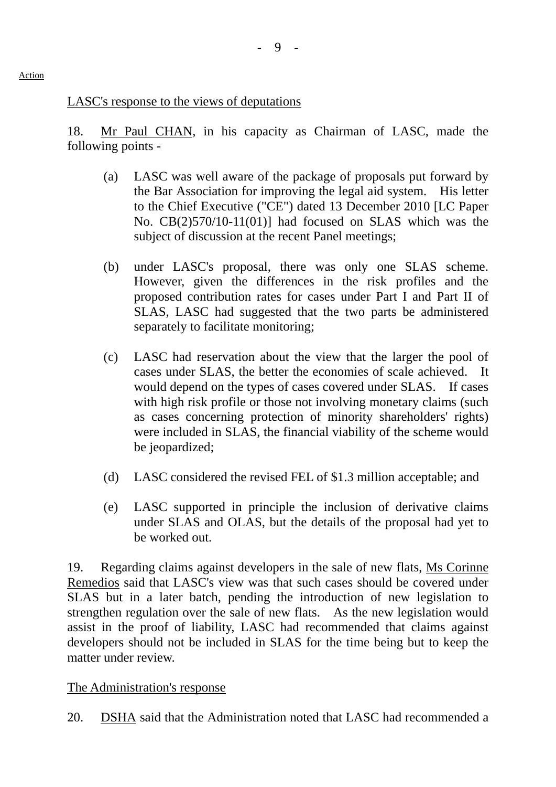## LASC's response to the views of deputations

18. Mr Paul CHAN, in his capacity as Chairman of LASC, made the following points -

- (a) LASC was well aware of the package of proposals put forward by the Bar Association for improving the legal aid system. His letter to the Chief Executive ("CE") dated 13 December 2010 [LC Paper No. CB(2)570/10-11(01)] had focused on SLAS which was the subject of discussion at the recent Panel meetings;
- (b) under LASC's proposal, there was only one SLAS scheme. However, given the differences in the risk profiles and the proposed contribution rates for cases under Part I and Part II of SLAS, LASC had suggested that the two parts be administered separately to facilitate monitoring;
- (c) LASC had reservation about the view that the larger the pool of cases under SLAS, the better the economies of scale achieved. It would depend on the types of cases covered under SLAS. If cases with high risk profile or those not involving monetary claims (such as cases concerning protection of minority shareholders' rights) were included in SLAS, the financial viability of the scheme would be jeopardized;
- (d) LASC considered the revised FEL of \$1.3 million acceptable; and
- (e) LASC supported in principle the inclusion of derivative claims under SLAS and OLAS, but the details of the proposal had yet to be worked out.

19. Regarding claims against developers in the sale of new flats, Ms Corinne Remedios said that LASC's view was that such cases should be covered under SLAS but in a later batch, pending the introduction of new legislation to strengthen regulation over the sale of new flats. As the new legislation would assist in the proof of liability, LASC had recommended that claims against developers should not be included in SLAS for the time being but to keep the matter under review.

# The Administration's response

20. DSHA said that the Administration noted that LASC had recommended a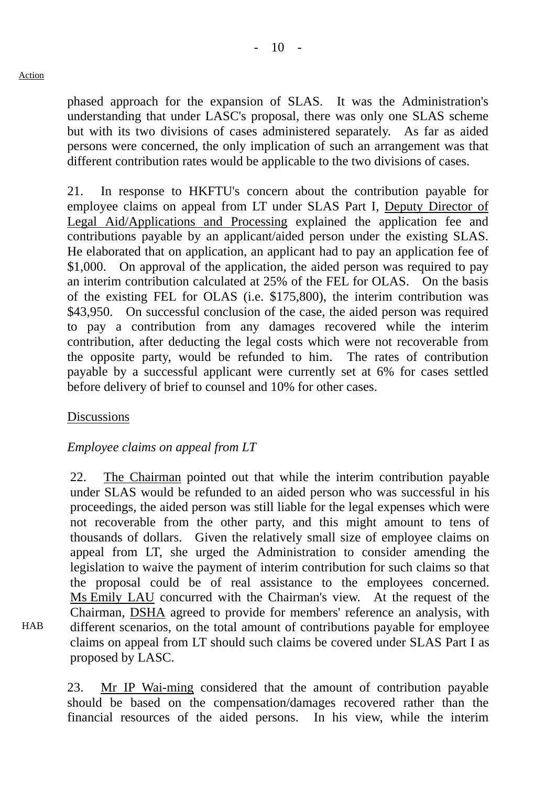phased approach for the expansion of SLAS. It was the Administration's understanding that under LASC's proposal, there was only one SLAS scheme but with its two divisions of cases administered separately. As far as aided persons were concerned, the only implication of such an arrangement was that different contribution rates would be applicable to the two divisions of cases.

21. In response to HKFTU's concern about the contribution payable for employee claims on appeal from LT under SLAS Part I, Deputy Director of Legal Aid/Applications and Processing explained the application fee and contributions payable by an applicant/aided person under the existing SLAS. He elaborated that on application, an applicant had to pay an application fee of \$1,000. On approval of the application, the aided person was required to pay an interim contribution calculated at 25% of the FEL for OLAS. On the basis of the existing FEL for OLAS (i.e. \$175,800), the interim contribution was \$43,950. On successful conclusion of the case, the aided person was required to pay a contribution from any damages recovered while the interim contribution, after deducting the legal costs which were not recoverable from the opposite party, would be refunded to him. The rates of contribution payable by a successful applicant were currently set at 6% for cases settled before delivery of brief to counsel and 10% for other cases.

## **Discussions**

**HAB** 

# *Employee claims on appeal from LT*

22. The Chairman pointed out that while the interim contribution payable under SLAS would be refunded to an aided person who was successful in his proceedings, the aided person was still liable for the legal expenses which were not recoverable from the other party, and this might amount to tens of thousands of dollars. Given the relatively small size of employee claims on appeal from LT, she urged the Administration to consider amending the legislation to waive the payment of interim contribution for such claims so that the proposal could be of real assistance to the employees concerned. Ms Emily LAU concurred with the Chairman's view. At the request of the Chairman, DSHA agreed to provide for members' reference an analysis, with different scenarios, on the total amount of contributions payable for employee claims on appeal from LT should such claims be covered under SLAS Part I as proposed by LASC.

23. Mr IP Wai-ming considered that the amount of contribution payable should be based on the compensation/damages recovered rather than the financial resources of the aided persons. In his view, while the interim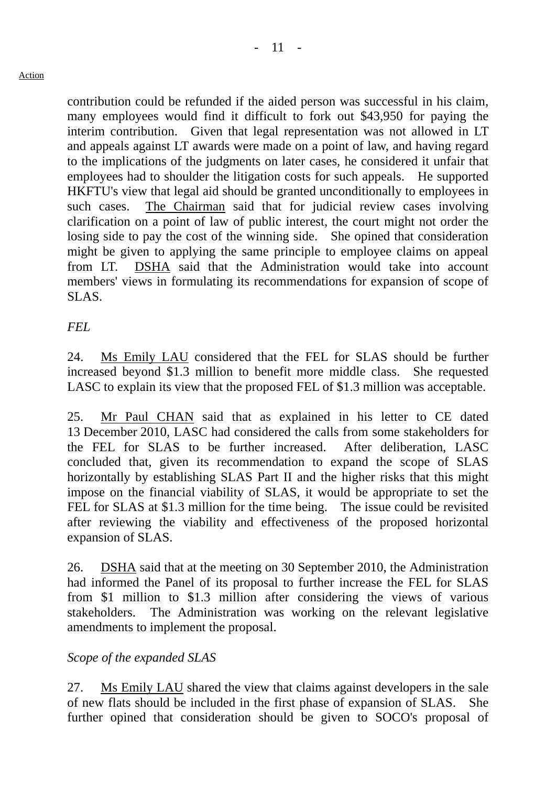contribution could be refunded if the aided person was successful in his claim, many employees would find it difficult to fork out \$43,950 for paying the interim contribution. Given that legal representation was not allowed in LT and appeals against LT awards were made on a point of law, and having regard to the implications of the judgments on later cases, he considered it unfair that employees had to shoulder the litigation costs for such appeals. He supported HKFTU's view that legal aid should be granted unconditionally to employees in such cases. The Chairman said that for judicial review cases involving clarification on a point of law of public interest, the court might not order the losing side to pay the cost of the winning side. She opined that consideration might be given to applying the same principle to employee claims on appeal from LT. DSHA said that the Administration would take into account members' views in formulating its recommendations for expansion of scope of SLAS.

# *FEL*

24. Ms Emily LAU considered that the FEL for SLAS should be further increased beyond \$1.3 million to benefit more middle class. She requested LASC to explain its view that the proposed FEL of \$1.3 million was acceptable.

25. Mr Paul CHAN said that as explained in his letter to CE dated 13 December 2010, LASC had considered the calls from some stakeholders for the FEL for SLAS to be further increased. After deliberation, LASC concluded that, given its recommendation to expand the scope of SLAS horizontally by establishing SLAS Part II and the higher risks that this might impose on the financial viability of SLAS, it would be appropriate to set the FEL for SLAS at \$1.3 million for the time being. The issue could be revisited after reviewing the viability and effectiveness of the proposed horizontal expansion of SLAS.

26. DSHA said that at the meeting on 30 September 2010, the Administration had informed the Panel of its proposal to further increase the FEL for SLAS from \$1 million to \$1.3 million after considering the views of various stakeholders. The Administration was working on the relevant legislative amendments to implement the proposal.

# *Scope of the expanded SLAS*

27. Ms Emily LAU shared the view that claims against developers in the sale of new flats should be included in the first phase of expansion of SLAS. She further opined that consideration should be given to SOCO's proposal of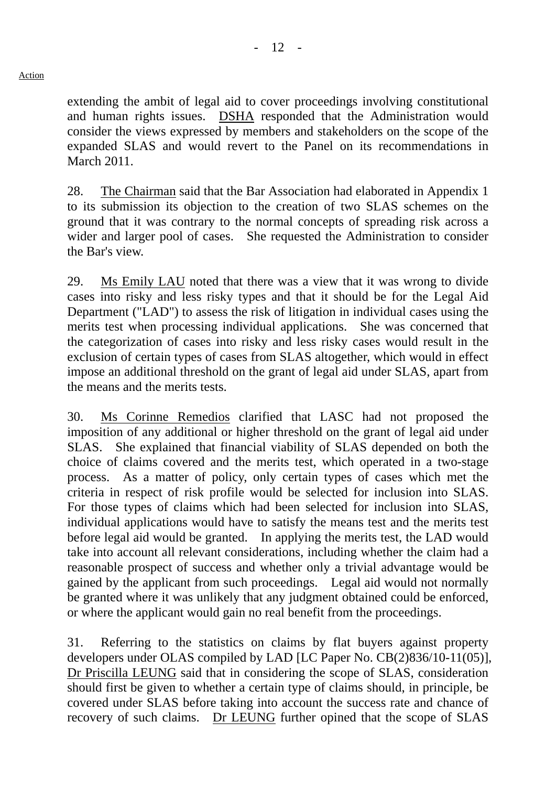extending the ambit of legal aid to cover proceedings involving constitutional and human rights issues. DSHA responded that the Administration would consider the views expressed by members and stakeholders on the scope of the expanded SLAS and would revert to the Panel on its recommendations in March 2011.

28. The Chairman said that the Bar Association had elaborated in Appendix 1 to its submission its objection to the creation of two SLAS schemes on the ground that it was contrary to the normal concepts of spreading risk across a wider and larger pool of cases. She requested the Administration to consider the Bar's view.

29. Ms Emily LAU noted that there was a view that it was wrong to divide cases into risky and less risky types and that it should be for the Legal Aid Department ("LAD") to assess the risk of litigation in individual cases using the merits test when processing individual applications. She was concerned that the categorization of cases into risky and less risky cases would result in the exclusion of certain types of cases from SLAS altogether, which would in effect impose an additional threshold on the grant of legal aid under SLAS, apart from the means and the merits tests.

30. Ms Corinne Remedios clarified that LASC had not proposed the imposition of any additional or higher threshold on the grant of legal aid under SLAS. She explained that financial viability of SLAS depended on both the choice of claims covered and the merits test, which operated in a two-stage process. As a matter of policy, only certain types of cases which met the criteria in respect of risk profile would be selected for inclusion into SLAS. For those types of claims which had been selected for inclusion into SLAS, individual applications would have to satisfy the means test and the merits test before legal aid would be granted. In applying the merits test, the LAD would take into account all relevant considerations, including whether the claim had a reasonable prospect of success and whether only a trivial advantage would be gained by the applicant from such proceedings. Legal aid would not normally be granted where it was unlikely that any judgment obtained could be enforced, or where the applicant would gain no real benefit from the proceedings.

31. Referring to the statistics on claims by flat buyers against property developers under OLAS compiled by LAD [LC Paper No. CB(2)836/10-11(05)], Dr Priscilla LEUNG said that in considering the scope of SLAS, consideration should first be given to whether a certain type of claims should, in principle, be covered under SLAS before taking into account the success rate and chance of recovery of such claims. Dr LEUNG further opined that the scope of SLAS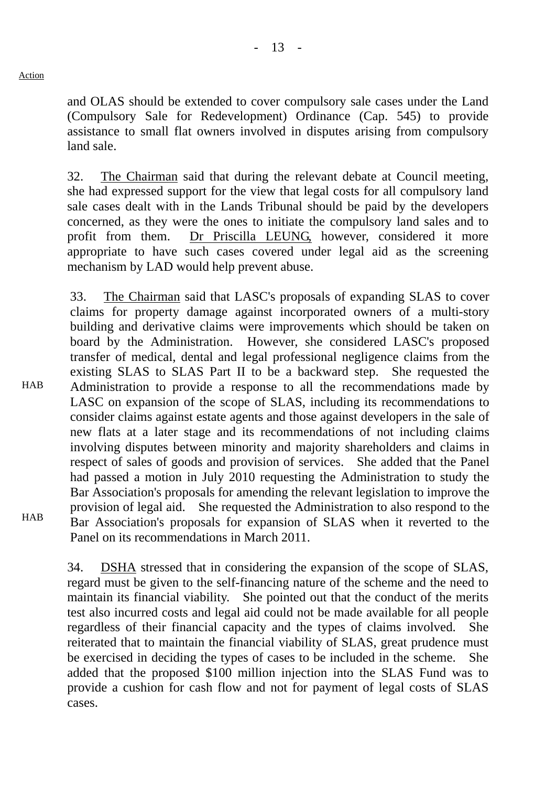HAB

**HAB** 

and OLAS should be extended to cover compulsory sale cases under the Land (Compulsory Sale for Redevelopment) Ordinance (Cap. 545) to provide assistance to small flat owners involved in disputes arising from compulsory land sale.

32. The Chairman said that during the relevant debate at Council meeting, she had expressed support for the view that legal costs for all compulsory land sale cases dealt with in the Lands Tribunal should be paid by the developers concerned, as they were the ones to initiate the compulsory land sales and to profit from them. Dr Priscilla LEUNG, however, considered it more appropriate to have such cases covered under legal aid as the screening mechanism by LAD would help prevent abuse.

33. The Chairman said that LASC's proposals of expanding SLAS to cover claims for property damage against incorporated owners of a multi-story building and derivative claims were improvements which should be taken on board by the Administration. However, she considered LASC's proposed transfer of medical, dental and legal professional negligence claims from the existing SLAS to SLAS Part II to be a backward step. She requested the Administration to provide a response to all the recommendations made by LASC on expansion of the scope of SLAS, including its recommendations to consider claims against estate agents and those against developers in the sale of new flats at a later stage and its recommendations of not including claims involving disputes between minority and majority shareholders and claims in respect of sales of goods and provision of services. She added that the Panel had passed a motion in July 2010 requesting the Administration to study the Bar Association's proposals for amending the relevant legislation to improve the provision of legal aid. She requested the Administration to also respond to the Bar Association's proposals for expansion of SLAS when it reverted to the Panel on its recommendations in March 2011.

34. DSHA stressed that in considering the expansion of the scope of SLAS, regard must be given to the self-financing nature of the scheme and the need to maintain its financial viability. She pointed out that the conduct of the merits test also incurred costs and legal aid could not be made available for all people regardless of their financial capacity and the types of claims involved. She reiterated that to maintain the financial viability of SLAS, great prudence must be exercised in deciding the types of cases to be included in the scheme. She added that the proposed \$100 million injection into the SLAS Fund was to provide a cushion for cash flow and not for payment of legal costs of SLAS cases.